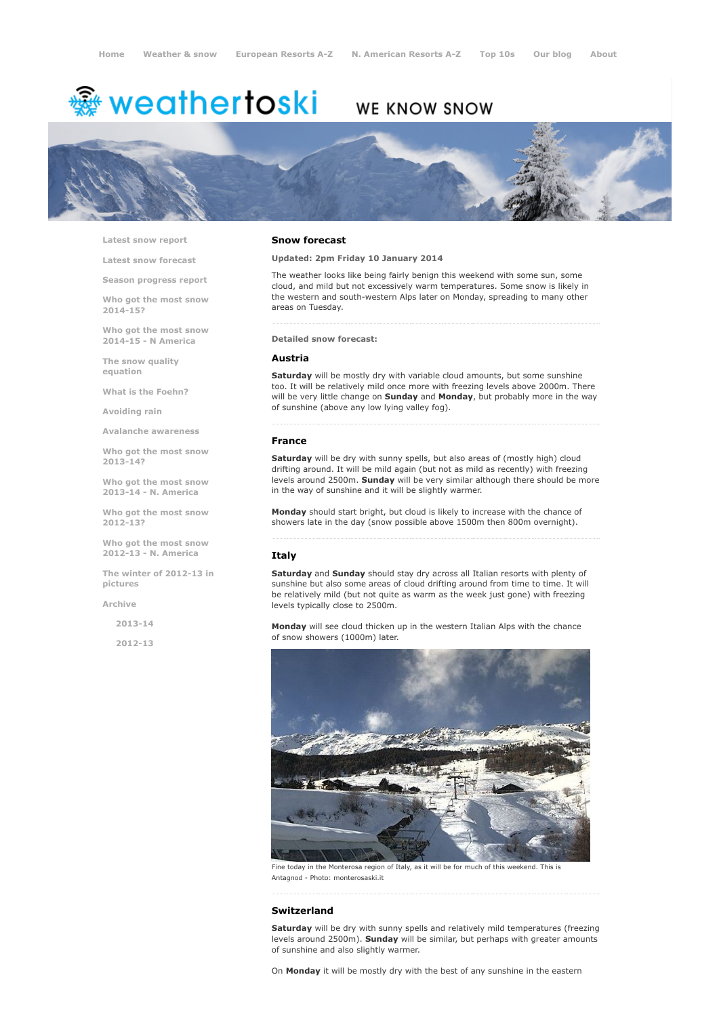# <del>鑾</del> weathertoski

# WE KNOW SNOW



Latest snow [report](http://www.weathertoski.co.uk/weather-snow/latest-snow-report/)

Latest snow [forecast](http://www.weathertoski.co.uk/weather-snow/latest-snow-forecast/)

Season [progress](http://www.weathertoski.co.uk/weather-snow/season-progress-report/) report

Who got the most snow 2014-15?

Who got the most snow 2014-15 - N America

The snow quality [equation](http://www.weathertoski.co.uk/weather-snow/the-snow-quality-equation/)

What is the [Foehn?](http://www.weathertoski.co.uk/weather-snow/what-is-the-foehn/)

[Avoiding](http://www.weathertoski.co.uk/weather-snow/avoiding-rain/) rain

Avalanche [awareness](http://www.weathertoski.co.uk/weather-snow/avalanche-awareness/)

Who got the most snow 2013-14?

Who got the most snow 2013-14 - N. America

Who got the most snow 2012-13?

Who got the most snow 2012-13 - N. America

The winter of 2012-13 in pictures

[Archive](http://www.weathertoski.co.uk/weather-snow/archive/)

2013-14

2012-13

#### Snow forecast

Updated: 2pm Friday 10 January 2014

The weather looks like being fairly benign this weekend with some sun, some cloud, and mild but not excessively warm temperatures. Some snow is likely in the western and south-western Alps later on Monday, spreading to many other areas on Tuesday.

# Detailed snow forecast:

#### Austria

Saturday will be mostly dry with variable cloud amounts, but some sunshine too. It will be relatively mild once more with freezing levels above 2000m. There will be very little change on Sunday and Monday, but probably more in the way of sunshine (above any low lying valley fog).

#### France

Saturday will be dry with sunny spells, but also areas of (mostly high) cloud drifting around. It will be mild again (but not as mild as recently) with freezing levels around 2500m. Sunday will be very similar although there should be more in the way of sunshine and it will be slightly warmer.

Monday should start bright, but cloud is likely to increase with the chance of showers late in the day (snow possible above 1500m then 800m overnight).

### Italy

Saturday and Sunday should stay dry across all Italian resorts with plenty of sunshine but also some areas of cloud drifting around from time to time. It will be relatively mild (but not quite as warm as the week just gone) with freezing levels typically close to 2500m.

Monday will see cloud thicken up in the western Italian Alps with the chance of snow showers (1000m) later.



ie today in the Monterosa region of Italy, as it will be for much of this weekend. This is Antagnod - Photo: monterosaski.it

#### Switzerland

Saturday will be dry with sunny spells and relatively mild temperatures (freezing levels around 2500m). Sunday will be similar, but perhaps with greater amounts of sunshine and also slightly warmer.

On Monday it will be mostly dry with the best of any sunshine in the eastern